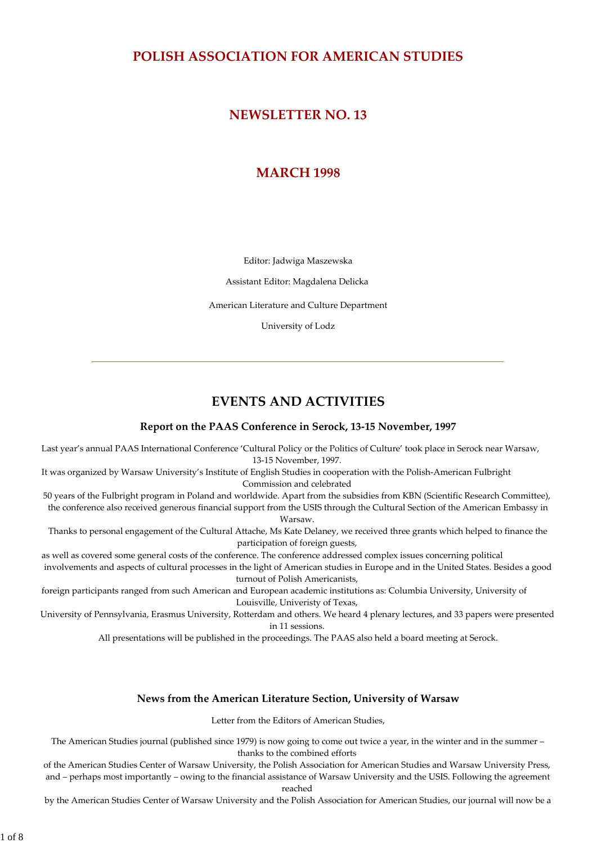## **POLISH ASSOCIATION FOR AMERICAN STUDIES**

# **NEWSLETTER NO. 13**

# **MARCH 1998**

Editor: Jadwiga Maszewska

Assistant Editor: Magdalena Delicka

American Literature and Culture Department

University of Lodz

# **EVENTS AND ACTIVITIES**

### **Report on the PAAS Conference in Serock, 13‐15 November, 1997**

Last year's annual PAAS International Conference 'Cultural Policy or the Politics of Culture' took place in Serock near Warsaw, 13‐15 November, 1997.

It was organized by Warsaw University's Institute of English Studies in cooperation with the Polish‐American Fulbright Commission and celebrated

50 years of the Fulbright program in Poland and worldwide. Apart from the subsidies from KBN (Scientific Research Committee), the conference also received generous financial support from the USIS through the Cultural Section of the American Embassy in

Warsaw.

Thanks to personal engagement of the Cultural Attache, Ms Kate Delaney, we received three grants which helped to finance the participation of foreign guests,

as well as covered some general costs of the conference. The conference addressed complex issues concerning political involvements and aspects of cultural processes in the light of American studies in Europe and in the United States. Besides a good turnout of Polish Americanists,

foreign participants ranged from such American and European academic institutions as: Columbia University, University of Louisville, Univeristy of Texas,

University of Pennsylvania, Erasmus University, Rotterdam and others. We heard 4 plenary lectures, and 33 papers were presented in 11 sessions.

All presentations will be published in the proceedings. The PAAS also held a board meeting at Serock.

### **News from the American Literature Section, University of Warsaw**

Letter from the Editors of American Studies,

The American Studies journal (published since 1979) is now going to come out twice a year, in the winter and in the summer – thanks to the combined efforts

of the American Studies Center of Warsaw University, the Polish Association for American Studies and Warsaw University Press, and – perhaps most importantly – owing to the financial assistance of Warsaw University and the USIS. Following the agreement reached

by the American Studies Center of Warsaw University and the Polish Association for American Studies, our journal will now be a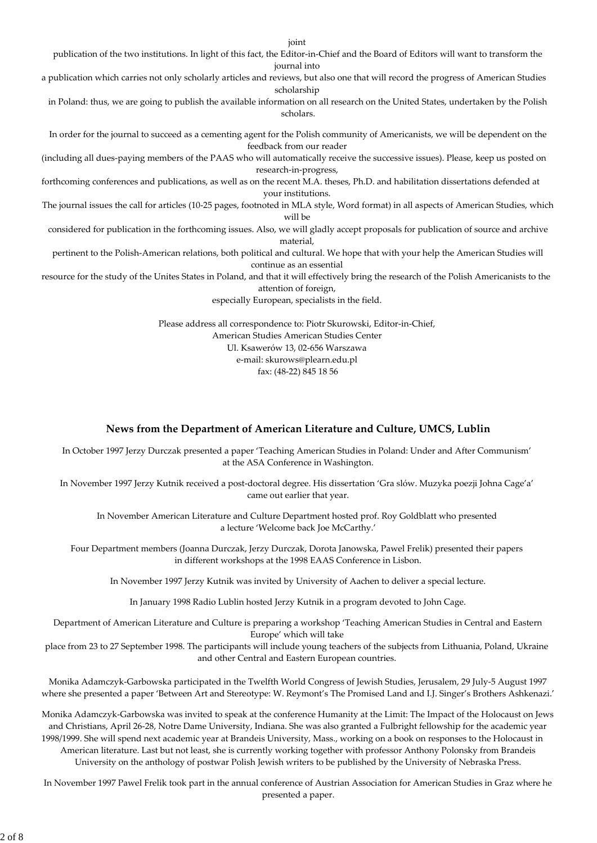joint

publication of the two institutions. In light of this fact, the Editor‐in‐Chief and the Board of Editors will want to transform the journal into

a publication which carries not only scholarly articles and reviews, but also one that will record the progress of American Studies scholarship

in Poland: thus, we are going to publish the available information on all research on the United States, undertaken by the Polish scholars.

In order for the journal to succeed as a cementing agent for the Polish community of Americanists, we will be dependent on the feedback from our reader

(including all dues‐paying members of the PAAS who will automatically receive the successive issues). Please, keep us posted on research‐in‐progress,

forthcoming conferences and publications, as well as on the recent M.A. theses, Ph.D. and habilitation dissertations defended at your institutions.

The journal issues the call for articles (10‐25 pages, footnoted in MLA style, Word format) in all aspects of American Studies, which will be

considered for publication in the forthcoming issues. Also, we will gladly accept proposals for publication of source and archive material,

pertinent to the Polish‐American relations, both political and cultural. We hope that with your help the American Studies will continue as an essential

resource for the study of the Unites States in Poland, and that it will effectively bring the research of the Polish Americanists to the attention of foreign,

especially European, specialists in the field.

Please address all correspondence to: Piotr Skurowski, Editor‐in‐Chief, American Studies American Studies Center Ul. Ksawerów 13, 02‐656 Warszawa e‐mail: skurows@plearn.edu.pl fax: (48‐22) 845 18 56

### **News from the Department of American Literature and Culture, UMCS, Lublin**

In October 1997 Jerzy Durczak presented a paper 'Teaching American Studies in Poland: Under and After Communism' at the ASA Conference in Washington.

In November 1997 Jerzy Kutnik received a post‐doctoral degree. His dissertation 'Gra slów. Muzyka poezji Johna Cage'a' came out earlier that year.

In November American Literature and Culture Department hosted prof. Roy Goldblatt who presented a lecture 'Welcome back Joe McCarthy.'

Four Department members (Joanna Durczak, Jerzy Durczak, Dorota Janowska, Pawel Frelik) presented their papers in different workshops at the 1998 EAAS Conference in Lisbon.

In November 1997 Jerzy Kutnik was invited by University of Aachen to deliver a special lecture.

In January 1998 Radio Lublin hosted Jerzy Kutnik in a program devoted to John Cage.

Department of American Literature and Culture is preparing a workshop 'Teaching American Studies in Central and Eastern Europe' which will take

place from 23 to 27 September 1998. The participants will include young teachers of the subjects from Lithuania, Poland, Ukraine and other Central and Eastern European countries.

Monika Adamczyk‐Garbowska participated in the Twelfth World Congress of Jewish Studies, Jerusalem, 29 July‐5 August 1997 where she presented a paper 'Between Art and Stereotype: W. Reymont's The Promised Land and I.J. Singer's Brothers Ashkenazi.'

Monika Adamczyk‐Garbowska was invited to speak at the conference Humanity at the Limit: The Impact of the Holocaust on Jews and Christians, April 26‐28, Notre Dame University, Indiana. She was also granted a Fulbright fellowship for the academic year 1998/1999. She will spend next academic year at Brandeis University, Mass., working on a book on responses to the Holocaust in American literature. Last but not least, she is currently working together with professor Anthony Polonsky from Brandeis University on the anthology of postwar Polish Jewish writers to be published by the University of Nebraska Press.

In November 1997 Pawel Frelik took part in the annual conference of Austrian Association for American Studies in Graz where he presented a paper.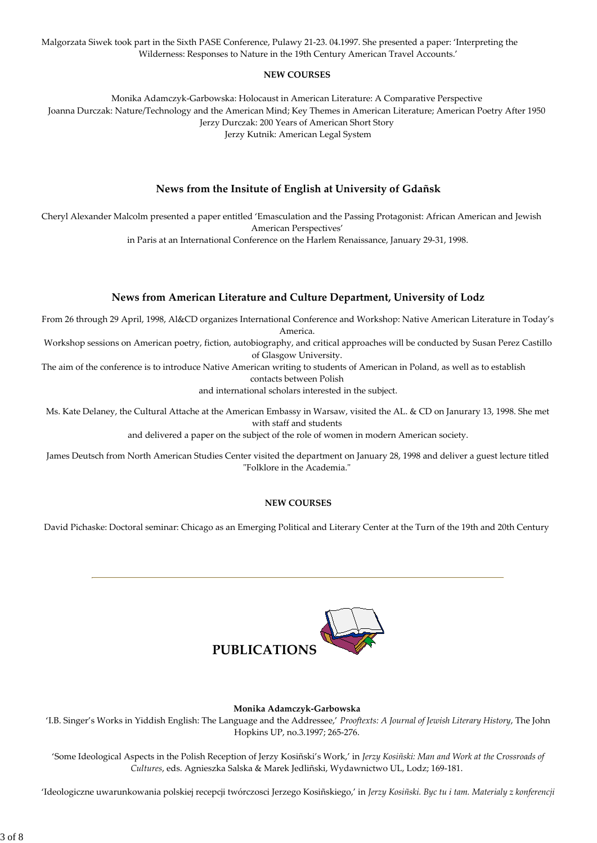Malgorzata Siwek took part in the Sixth PASE Conference, Pulawy 21‐23. 04.1997. She presented a paper: 'Interpreting the Wilderness: Responses to Nature in the 19th Century American Travel Accounts.'

### **NEW COURSES**

Monika Adamczyk‐Garbowska: Holocaust in American Literature: A Comparative Perspective Joanna Durczak: Nature/Technology and the American Mind; Key Themes in American Literature; American Poetry After 1950 Jerzy Durczak: 200 Years of American Short Story Jerzy Kutnik: American Legal System

## **News from the Insitute of English at University of Gdañsk**

Cheryl Alexander Malcolm presented a paper entitled 'Emasculation and the Passing Protagonist: African American and Jewish American Perspectives'

in Paris at an International Conference on the Harlem Renaissance, January 29‐31, 1998.

## **News from American Literature and Culture Department, University of Lodz**

From 26 through 29 April, 1998, Al&CD organizes International Conference and Workshop: Native American Literature in Today's America.

Workshop sessions on American poetry, fiction, autobiography, and critical approaches will be conducted by Susan Perez Castillo of Glasgow University.

The aim of the conference is to introduce Native American writing to students of American in Poland, as well as to establish contacts between Polish

and international scholars interested in the subject.

Ms. Kate Delaney, the Cultural Attache at the American Embassy in Warsaw, visited the AL. & CD on Janurary 13, 1998. She met with staff and students

and delivered a paper on the subject of the role of women in modern American society.

James Deutsch from North American Studies Center visited the department on January 28, 1998 and deliver a guest lecture titled "Folklore in the Academia."

### **NEW COURSES**

David Pichaske: Doctoral seminar: Chicago as an Emerging Political and Literary Center at the Turn of the 19th and 20th Century



**Monika Adamczyk‐Garbowska**

'I.B. Singer's Works in Yiddish English: The Language and the Addressee,' *Prooftexts: A Journal of Jewish Literary History*, The John Hopkins UP, no.3.1997; 265‐276.

'Some Ideological Aspects in the Polish Reception of Jerzy Kosiñski's Work,' in *Jerzy Kosiñski: Man and Work at the Crossroads of Cultures*, eds. Agnieszka Salska & Marek Jedliñski, Wydawnictwo UL, Lodz; 169‐181.

'Ideologiczne uwarunkowania polskiej recepcji twórczosci Jerzego Kosiñskiego,' in *Jerzy Kosiñski. Byc tu i tam. Materialy z konferencji*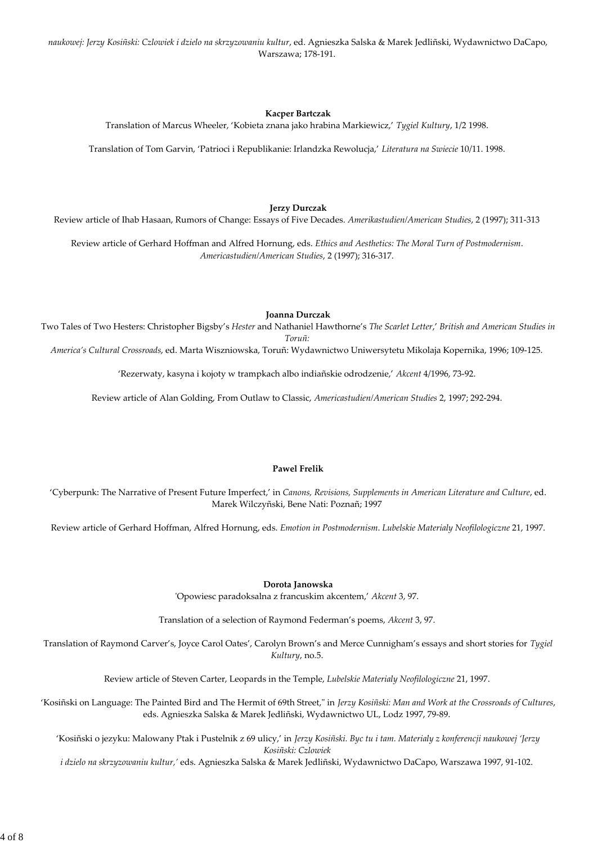*naukowej: Jerzy Kosiñski: Czlowiek i dzielo na skrzyzowaniu kultur*, ed. Agnieszka Salska & Marek Jedliñski, Wydawnictwo DaCapo, Warszawa; 178‐191.

### **Kacper Bartczak**

Translation of Marcus Wheeler, 'Kobieta znana jako hrabina Markiewicz,' *Tygiel Kultury*, 1/2 1998.

Translation of Tom Garvin, 'Patrioci i Republikanie: Irlandzka Rewolucja,' *Literatura na Swiecie* 10/11. 1998.

#### **Jerzy Durczak**

Review article of Ihab Hasaan, Rumors of Change: Essays of Five Decades. *Amerikastudien/American Studies*, 2 (1997); 311‐313

Review article of Gerhard Hoffman and Alfred Hornung, eds. *Ethics and Aesthetics: The Moral Turn of Postmodernism*. *Americastudien/American Studies*, 2 (1997); 316‐317.

#### **Joanna Durczak**

Two Tales of Two Hesters: Christopher Bigsby's *Hester* and Nathaniel Hawthorne's *The Scarlet Letter*,' *British and American Studies in Toruñ:*

*America's Cultural Crossroads*, ed. Marta Wiszniowska, Toruñ: Wydawnictwo Uniwersytetu Mikolaja Kopernika, 1996; 109‐125.

'Rezerwaty, kasyna i kojoty w trampkach albo indiañskie odrodzenie,' *Akcent* 4/1996, 73‐92.

Review article of Alan Golding, From Outlaw to Classic, *Americastudien/American Studies* 2, 1997; 292‐294.

#### **Pawel Frelik**

'Cyberpunk: The Narrative of Present Future Imperfect,' in *Canons, Revisions, Supplements in American Literature and Culture*, ed. Marek Wilczyñski, Bene Nati: Poznañ; 1997

Review article of Gerhard Hoffman, Alfred Hornung, eds. *Emotion in Postmodernism*. *Lubelskie Materialy Neofilologiczne* 21, 1997.

#### **Dorota Janowska**

ʹOpowiesc paradoksalna z francuskim akcentem,' *Akcent* 3, 97.

Translation of a selection of Raymond Federman's poems, *Akcent* 3, 97.

Translation of Raymond Carver's, Joyce Carol Oates', Carolyn Brown's and Merce Cunnigham's essays and short stories for *Tygiel Kultury*, no.5.

Review article of Steven Carter, Leopards in the Temple, *Lubelskie Materialy Neofilologiczne* 21, 1997.

'Kosiñski on Language: The Painted Bird and The Hermit of 69th Street,ʺ in *Jerzy Kosiñski: Man and Work at the Crossroads of Cultures*, eds. Agnieszka Salska & Marek Jedliñski, Wydawnictwo UL, Lodz 1997, 79‐89.

'Kosiñski o jezyku: Malowany Ptak i Pustelnik z 69 ulicy,' in *Jerzy Kosiñski. Byc tu i tam. Materialy z konferencji naukowej 'Jerzy Kosiñski: Czlowiek*

*i dzielo na skrzyzowaniu kultur,'* eds. Agnieszka Salska & Marek Jedliñski, Wydawnictwo DaCapo, Warszawa 1997, 91‐102.

4 of 8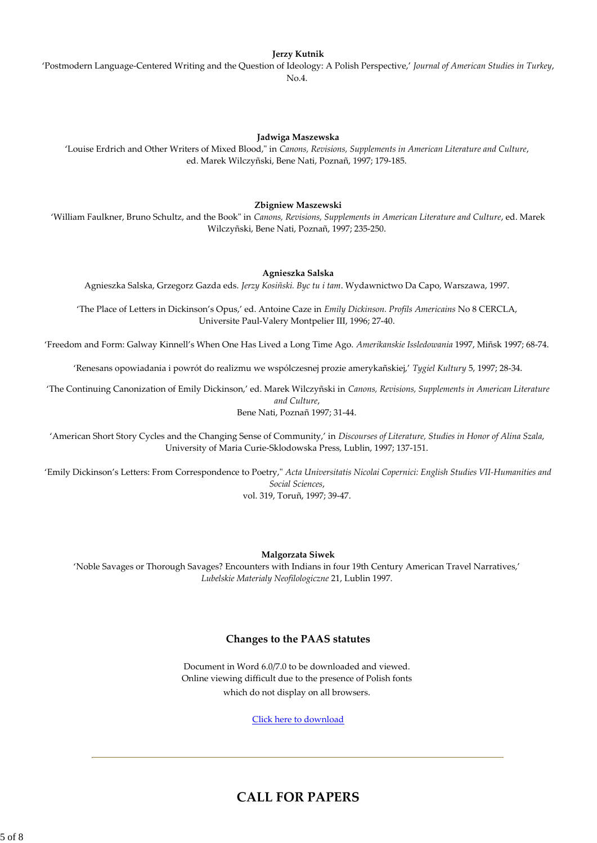#### **Jerzy Kutnik**

'Postmodern Language‐Centered Writing and the Question of Ideology: A Polish Perspective,' *Journal of American Studies in Turkey*, No.4.

#### **Jadwiga Maszewska**

'Louise Erdrich and Other Writers of Mixed Blood,ʺ in *Canons, Revisions, Supplements in American Literature and Culture*, ed. Marek Wilczyñski, Bene Nati, Poznañ, 1997; 179‐185.

#### **Zbigniew Maszewski**

'William Faulkner, Bruno Schultz, and the Bookʺ in *Canons, Revisions, Supplements in American Literature and Culture*, ed. Marek Wilczyñski, Bene Nati, Poznañ, 1997; 235‐250.

#### **Agnieszka Salska**

Agnieszka Salska, Grzegorz Gazda eds. *Jerzy Kosiñski. Byc tu i tam*. Wydawnictwo Da Capo, Warszawa, 1997.

'The Place of Letters in Dickinson's Opus,' ed. Antoine Caze in *Emily Dickinson. Profils Americains* No 8 CERCLA, Universite Paul‐Valery Montpelier III, 1996; 27‐40.

'Freedom and Form: Galway Kinnell's When One Has Lived a Long Time Ago. *Amerikanskie Issledowania* 1997, Miñsk 1997; 68‐74.

'Renesans opowiadania i powrót do realizmu we wspólczesnej prozie amerykañskiej,' *Tygiel Kultury* 5, 1997; 28‐34.

'The Continuing Canonization of Emily Dickinson,' ed. Marek Wilczyñski in *Canons, Revisions, Supplements in American Literature and Culture*,

Bene Nati, Poznañ 1997; 31‐44.

'American Short Story Cycles and the Changing Sense of Community,' in *Discourses of Literature, Studies in Honor of Alina Szala*, University of Maria Curie‐Sklodowska Press, Lublin, 1997; 137‐151.

'Emily Dickinson's Letters: From Correspondence to Poetry,ʺ *Acta Universitatis Nicolai Copernici: English Studies VII‐Humanities and Social Sciences*, vol. 319, Toruñ, 1997; 39‐47.

**Malgorzata Siwek**

'Noble Savages or Thorough Savages? Encounters with Indians in four 19th Century American Travel Narratives,' *Lubelskie Materialy Neofilologiczne* 21, Lublin 1997.

### **Changes to the PAAS statutes**

Document in Word 6.0/7.0 to be downloaded and viewed. Online viewing difficult due to the presence of Polish fonts which do not display on all browsers.

Click here to download

# **CALL FOR PAPERS**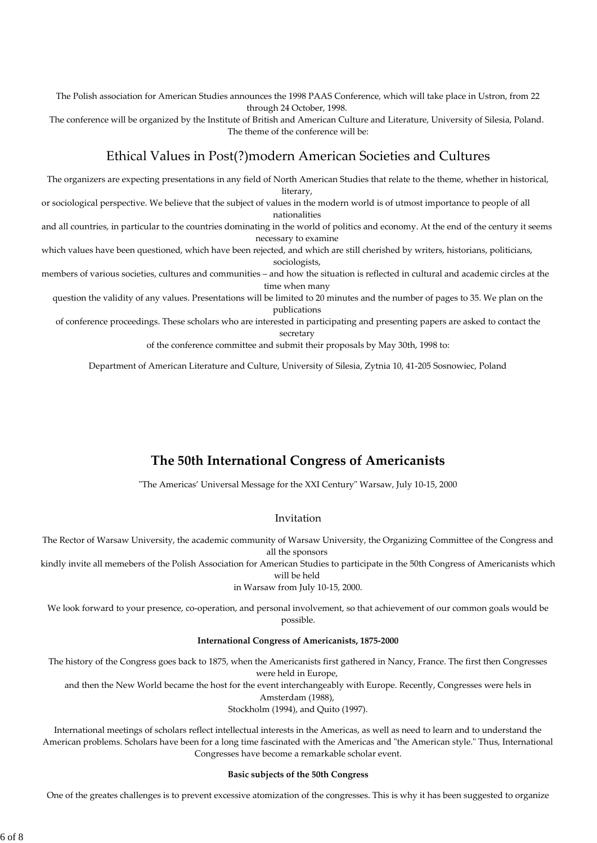The Polish association for American Studies announces the 1998 PAAS Conference, which will take place in Ustron, from 22 through 24 October, 1998.

The conference will be organized by the Institute of British and American Culture and Literature, University of Silesia, Poland. The theme of the conference will be:

## Ethical Values in Post(?)modern American Societies and Cultures

The organizers are expecting presentations in any field of North American Studies that relate to the theme, whether in historical, literary,

or sociological perspective. We believe that the subject of values in the modern world is of utmost importance to people of all nationalities

and all countries, in particular to the countries dominating in the world of politics and economy. At the end of the century it seems necessary to examine

which values have been questioned, which have been rejected, and which are still cherished by writers, historians, politicians, sociologists.

members of various societies, cultures and communities – and how the situation is reflected in cultural and academic circles at the time when many

question the validity of any values. Presentations will be limited to 20 minutes and the number of pages to 35. We plan on the publications

of conference proceedings. These scholars who are interested in participating and presenting papers are asked to contact the secretary

of the conference committee and submit their proposals by May 30th, 1998 to:

Department of American Literature and Culture, University of Silesia, Zytnia 10, 41‐205 Sosnowiec, Poland

# **The 50th International Congress of Americanists**

"The Americas' Universal Message for the XXI Century" Warsaw, July 10-15, 2000

### Invitation

The Rector of Warsaw University, the academic community of Warsaw University, the Organizing Committee of the Congress and all the sponsors

kindly invite all memebers of the Polish Association for American Studies to participate in the 50th Congress of Americanists which will be held

### in Warsaw from July 10‐15, 2000.

We look forward to your presence, co-operation, and personal involvement, so that achievement of our common goals would be possible.

### **International Congress of Americanists, 1875‐2000**

The history of the Congress goes back to 1875, when the Americanists first gathered in Nancy, France. The first then Congresses were held in Europe,

and then the New World became the host for the event interchangeably with Europe. Recently, Congresses were hels in Amsterdam (1988),

Stockholm (1994), and Quito (1997).

International meetings of scholars reflect intellectual interests in the Americas, as well as need to learn and to understand the American problems. Scholars have been for a long time fascinated with the Americas and "the American style." Thus, International Congresses have become a remarkable scholar event.

#### **Basic subjects of the 50th Congress**

One of the greates challenges is to prevent excessive atomization of the congresses. This is why it has been suggested to organize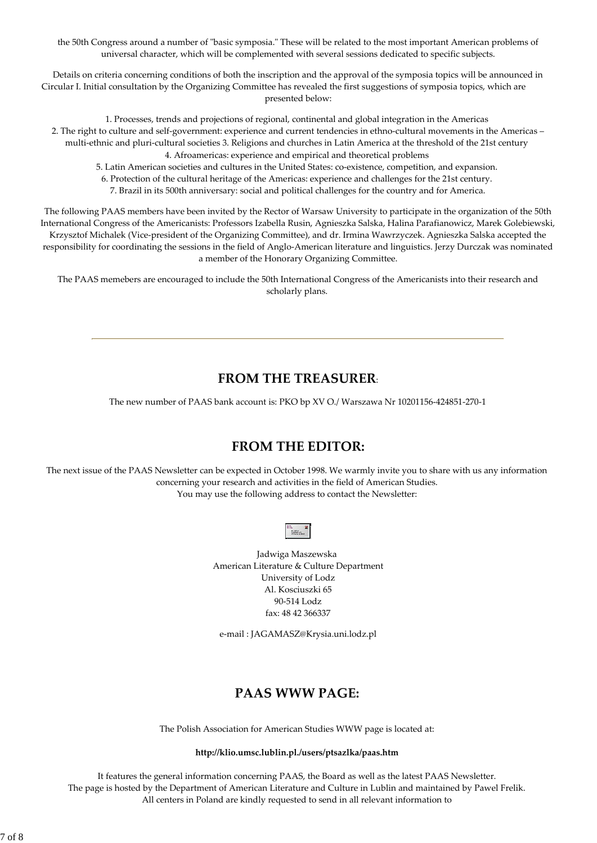the 50th Congress around a number of "basic symposia." These will be related to the most important American problems of universal character, which will be complemented with several sessions dedicated to specific subjects.

Details on criteria concerning conditions of both the inscription and the approval of the symposia topics will be announced in Circular I. Initial consultation by the Organizing Committee has revealed the first suggestions of symposia topics, which are presented below:

1. Processes, trends and projections of regional, continental and global integration in the Americas 2. The right to culture and self‐government: experience and current tendencies in ethno‐cultural movements in the Americas – multi-ethnic and pluri-cultural societies 3. Religions and churches in Latin America at the threshold of the 21st century 4. Afroamericas: experience and empirical and theoretical problems

5. Latin American societies and cultures in the United States: co‐existence, competition, and expansion.

6. Protection of the cultural heritage of the Americas: experience and challenges for the 21st century.

7. Brazil in its 500th anniversary: social and political challenges for the country and for America.

The following PAAS members have been invited by the Rector of Warsaw University to participate in the organization of the 50th International Congress of the Americanists: Professors Izabella Rusin, Agnieszka Salska, Halina Parafianowicz, Marek Golebiewski, Krzysztof Michalek (Vice‐president of the Organizing Committee), and dr. Irmina Wawrzyczek. Agnieszka Salska accepted the responsibility for coordinating the sessions in the field of Anglo‐American literature and linguistics. Jerzy Durczak was nominated a member of the Honorary Organizing Committee.

The PAAS memebers are encouraged to include the 50th International Congress of the Americanists into their research and scholarly plans.

# **FROM THE TREASURER**:

The new number of PAAS bank account is: PKO bp XV O./ Warszawa Nr 10201156‐424851‐270‐1

# **FROM THE EDITOR:**

The next issue of the PAAS Newsletter can be expected in October 1998. We warmly invite you to share with us any information concerning your research and activities in the field of American Studies. You may use the following address to contact the Newsletter:

Jadwiga Maszewska American Literature & Culture Department University of Lodz Al. Kosciuszki 65 90‐514 Lodz fax: 48 42 366337

e‐mail : JAGAMASZ@Krysia.uni.lodz.pl

# **PAAS WWW PAGE:**

The Polish Association for American Studies WWW page is located at:

**http://klio.umsc.lublin.pl./users/ptsazlka/paas.htm**

It features the general information concerning PAAS, the Board as well as the latest PAAS Newsletter. The page is hosted by the Department of American Literature and Culture in Lublin and maintained by Pawel Frelik. All centers in Poland are kindly requested to send in all relevant information to